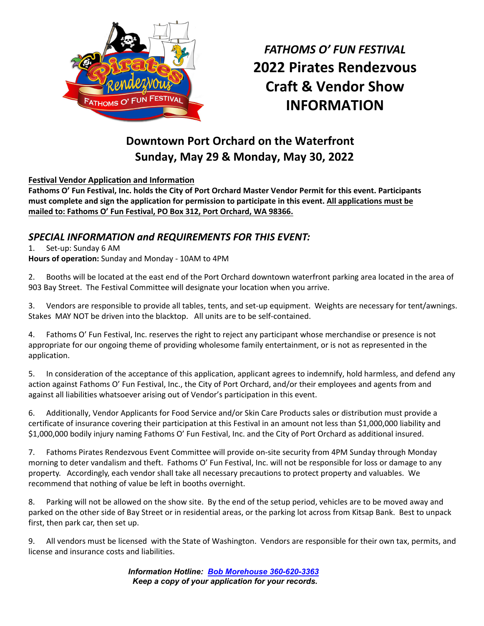

*FATHOMS O' FUN FESTIVAL*  **2022 Pirates Rendezvous Craft & Vendor Show INFORMATION** 

# **Downtown Port Orchard on the Waterfront Sunday, May 29 & Monday, May 30, 2022**

### **Festival Vendor Application and Information**

**Fathoms O' Fun Festival, Inc. holds the City of Port Orchard Master Vendor Permit for this event. Participants must complete and sign the application for permission to participate in this event. All applications must be mailed to: Fathoms O' Fun Festival, PO Box 312, Port Orchard, WA 98366.** 

### *SPECIAL INFORMATION and REQUIREMENTS FOR THIS EVENT:*

#### 1. Set-up: Sunday 6 AM

**Hours of operation:** Sunday and Monday - 10AM to 4PM

2. Booths will be located at the east end of the Port Orchard downtown waterfront parking area located in the area of 903 Bay Street. The Festival Committee will designate your location when you arrive.

3. Vendors are responsible to provide all tables, tents, and set-up equipment. Weights are necessary for tent/awnings. Stakes MAY NOT be driven into the blacktop. All units are to be self-contained.

4. Fathoms O' Fun Festival, Inc. reserves the right to reject any participant whose merchandise or presence is not appropriate for our ongoing theme of providing wholesome family entertainment, or is not as represented in the application.

5. In consideration of the acceptance of this application, applicant agrees to indemnify, hold harmless, and defend any action against Fathoms O' Fun Festival, Inc., the City of Port Orchard, and/or their employees and agents from and against all liabilities whatsoever arising out of Vendor's participation in this event.

6. Additionally, Vendor Applicants for Food Service and/or Skin Care Products sales or distribution must provide a certificate of insurance covering their participation at this Festival in an amount not less than \$1,000,000 liability and \$1,000,000 bodily injury naming Fathoms O' Fun Festival, Inc. and the City of Port Orchard as additional insured.

7. Fathoms Pirates Rendezvous Event Committee will provide on-site security from 4PM Sunday through Monday morning to deter vandalism and theft. Fathoms O' Fun Festival, Inc. will not be responsible for loss or damage to any property. Accordingly, each vendor shall take all necessary precautions to protect property and valuables. We recommend that nothing of value be left in booths overnight.

8. Parking will not be allowed on the show site. By the end of the setup period, vehicles are to be moved away and parked on the other side of Bay Street or in residential areas, or the parking lot across from Kitsap Bank. Best to unpack first, then park car, then set up.

9. All vendors must be licensed with the State of Washington. Vendors are responsible for their own tax, permits, and license and insurance costs and liabilities.

> *Information Hotline: Bob Morehouse 360-620-3363* *Keep a copy of your application for your records.*